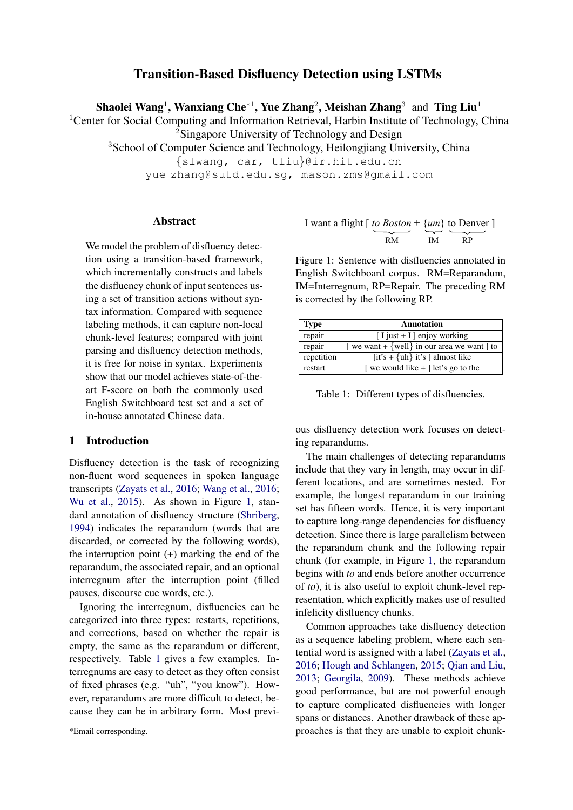# Transition-Based Disfluency Detection using LSTMs

Shaolei Wang<sup>1</sup>, Wanxiang Che\*<sup>1</sup>, Yue Zhang<sup>2</sup>, Meishan Zhang<sup>3</sup> and Ting Liu<sup>1</sup>

<span id="page-0-2"></span><sup>1</sup> Center for Social Computing and Information Retrieval, Harbin Institute of Technology, China <sup>2</sup>Singapore University of Technology and Design

<sup>3</sup>School of Computer Science and Technology, Heilongjiang University, China

{slwang, car, tliu}@ir.hit.edu.cn

yue zhang@sutd.edu.sg, mason.zms@gmail.com

### Abstract

We model the problem of disfluency detection using a transition-based framework, which incrementally constructs and labels the disfluency chunk of input sentences using a set of transition actions without syntax information. Compared with sequence labeling methods, it can capture non-local chunk-level features; compared with joint parsing and disfluency detection methods, it is free for noise in syntax. Experiments show that our model achieves state-of-theart F-score on both the commonly used English Switchboard test set and a set of in-house annotated Chinese data.

# 1 Introduction

Disfluency detection is the task of recognizing non-fluent word sequences in spoken language transcripts [\(Zayats et al.,](#page-9-0) [2016;](#page-9-0) [Wang et al.,](#page-9-1) [2016;](#page-9-1) [Wu et al.,](#page-9-2) [2015\)](#page-9-2). As shown in Figure [1,](#page-0-0) standard annotation of disfluency structure [\(Shriberg,](#page-9-3) [1994\)](#page-9-3) indicates the reparandum (words that are discarded, or corrected by the following words), the interruption point  $(+)$  marking the end of the reparandum, the associated repair, and an optional interregnum after the interruption point (filled pauses, discourse cue words, etc.).

Ignoring the interregnum, disfluencies can be categorized into three types: restarts, repetitions, and corrections, based on whether the repair is empty, the same as the reparandum or different, respectively. Table [1](#page-0-1) gives a few examples. Interregnums are easy to detect as they often consist of fixed phrases (e.g. "uh", "you know"). However, reparandums are more difficult to detect, because they can be in arbitrary form. Most previ-

<span id="page-0-0"></span>I want a flight 
$$
\left[\frac{to Boston + \{um\}}{RM}\right]
$$
 to Denver  $\left[\frac{mm}{M}\right]$ 

Figure 1: Sentence with disfluencies annotated in English Switchboard corpus. RM=Reparandum, IM=Interregnum, RP=Repair. The preceding RM is corrected by the following RP.

<span id="page-0-1"></span>

| <b>Type</b> | <b>Annotation</b>                                      |
|-------------|--------------------------------------------------------|
| repair      | $[I$ just + I ] enjoy working                          |
| repair      | [ we want + $\{$ well $\}$ in our area we want $\}$ to |
| repetition  | $[it's + {uh} it's ] almost like$                      |
| restart     | we would like $+$ let's go to the                      |

Table 1: Different types of disfluencies.

ous disfluency detection work focuses on detecting reparandums.

The main challenges of detecting reparandums include that they vary in length, may occur in different locations, and are sometimes nested. For example, the longest reparandum in our training set has fifteen words. Hence, it is very important to capture long-range dependencies for disfluency detection. Since there is large parallelism between the reparandum chunk and the following repair chunk (for example, in Figure [1,](#page-0-0) the reparandum begins with *to* and ends before another occurrence of *to*), it is also useful to exploit chunk-level representation, which explicitly makes use of resulted infelicity disfluency chunks.

Common approaches take disfluency detection as a sequence labeling problem, where each sentential word is assigned with a label [\(Zayats et al.,](#page-9-0) [2016;](#page-9-0) [Hough and Schlangen,](#page-8-0) [2015;](#page-8-0) [Qian and Liu,](#page-9-4) [2013;](#page-9-4) [Georgila,](#page-8-1) [2009\)](#page-8-1). These methods achieve good performance, but are not powerful enough to capture complicated disfluencies with longer spans or distances. Another drawback of these approaches is that they are unable to exploit chunk-

<sup>\*</sup>Email corresponding.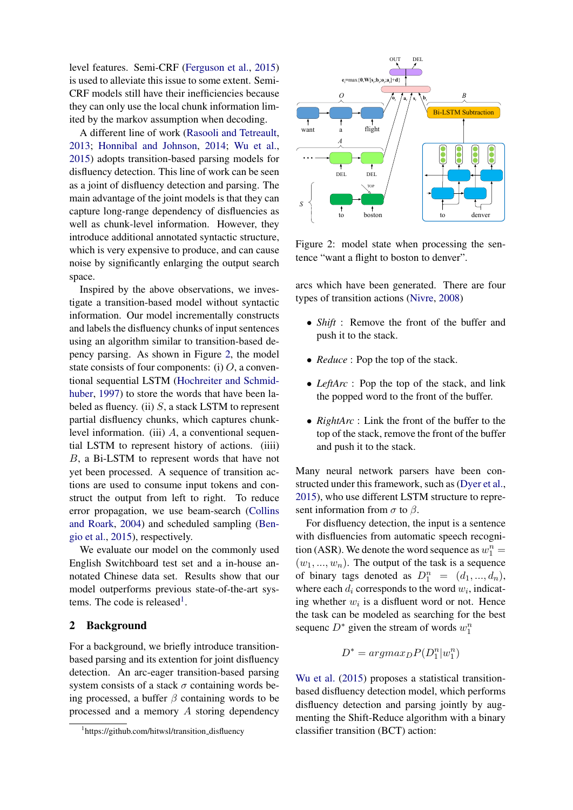level features. Semi-CRF [\(Ferguson et al.,](#page-8-2) [2015\)](#page-8-2) is used to alleviate this issue to some extent. Semi-CRF models still have their inefficiencies because they can only use the local chunk information limited by the markov assumption when decoding.

A different line of work [\(Rasooli and Tetreault,](#page-9-5) [2013;](#page-9-5) [Honnibal and Johnson,](#page-8-3) [2014;](#page-8-3) [Wu et al.,](#page-9-2) [2015\)](#page-9-2) adopts transition-based parsing models for disfluency detection. This line of work can be seen as a joint of disfluency detection and parsing. The main advantage of the joint models is that they can capture long-range dependency of disfluencies as well as chunk-level information. However, they introduce additional annotated syntactic structure, which is very expensive to produce, and can cause noise by significantly enlarging the output search space.

Inspired by the above observations, we investigate a transition-based model without syntactic information. Our model incrementally constructs and labels the disfluency chunks of input sentences using an algorithm similar to transition-based depency parsing. As shown in Figure [2,](#page-1-0) the model state consists of four components: (i)  $O$ , a conventional sequential LSTM [\(Hochreiter and Schmid](#page-8-4)[huber,](#page-8-4) [1997\)](#page-8-4) to store the words that have been labeled as fluency. (ii)  $S$ , a stack LSTM to represent partial disfluency chunks, which captures chunklevel information. (iii)  $A$ , a conventional sequential LSTM to represent history of actions. (iiii) B, a Bi-LSTM to represent words that have not yet been processed. A sequence of transition actions are used to consume input tokens and construct the output from left to right. To reduce error propagation, we use beam-search [\(Collins](#page-8-5) [and Roark,](#page-8-5) [2004\)](#page-8-5) and scheduled sampling [\(Ben](#page-8-6)[gio et al.,](#page-8-6) [2015\)](#page-8-6), respectively.

We evaluate our model on the commonly used English Switchboard test set and a in-house annotated Chinese data set. Results show that our model outperforms previous state-of-the-art sys-tems. The code is released<sup>[1](#page-0-2)</sup>.

# 2 Background

For a background, we briefly introduce transitionbased parsing and its extention for joint disfluency detection. An arc-eager transition-based parsing system consists of a stack  $\sigma$  containing words being processed, a buffer  $\beta$  containing words to be processed and a memory A storing dependency

<span id="page-1-0"></span>

Figure 2: model state when processing the sentence "want a flight to boston to denver".

arcs which have been generated. There are four types of transition actions [\(Nivre,](#page-9-6) [2008\)](#page-9-6)

- *Shift* : Remove the front of the buffer and push it to the stack.
- *Reduce* : Pop the top of the stack.
- *LeftArc* : Pop the top of the stack, and link the popped word to the front of the buffer.
- *RightArc* : Link the front of the buffer to the top of the stack, remove the front of the buffer and push it to the stack.

Many neural network parsers have been constructed under this framework, such as [\(Dyer et al.,](#page-8-7) [2015\)](#page-8-7), who use different LSTM structure to represent information from  $\sigma$  to  $\beta$ .

For disfluency detection, the input is a sentence with disfluencies from automatic speech recognition (ASR). We denote the word sequence as  $w_1^n =$  $(w_1, ..., w_n)$ . The output of the task is a sequence of binary tags denoted as  $D_1^n = (d_1, ..., d_n)$ , where each  $d_i$  corresponds to the word  $w_i$ , indicating whether  $w_i$  is a disfluent word or not. Hence the task can be modeled as searching for the best sequenc $D^*$  given the stream of words  $w_1^n$ 

$$
D^* = argmax_D P(D_1^n | w_1^n)
$$

[Wu et al.](#page-9-2) [\(2015\)](#page-9-2) proposes a statistical transitionbased disfluency detection model, which performs disfluency detection and parsing jointly by augmenting the Shift-Reduce algorithm with a binary classifier transition (BCT) action:

<sup>&</sup>lt;sup>1</sup>https://github.com/hitwsl/transition\_disfluency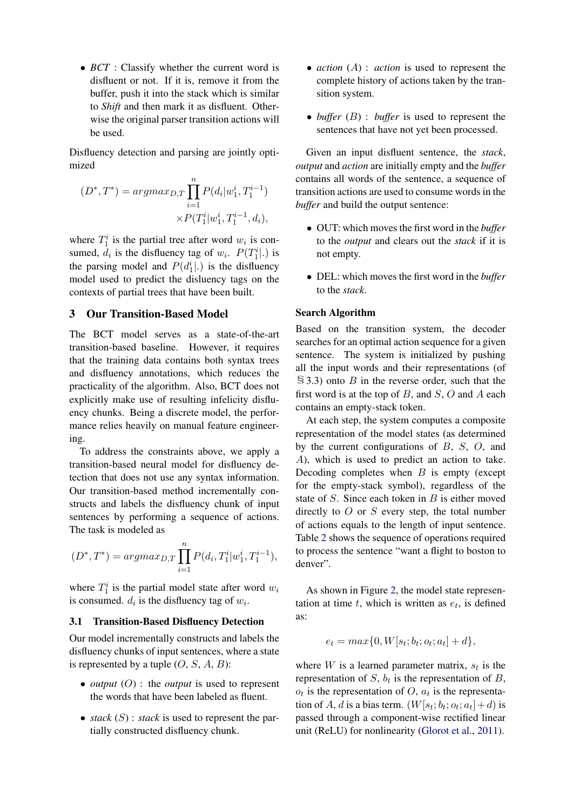• *BCT* : Classify whether the current word is disfluent or not. If it is, remove it from the buffer, push it into the stack which is similar to *Shift* and then mark it as disfluent. Otherwise the original parser transition actions will be used.

Disfluency detection and parsing are jointly optimized

$$
(D^*, T^*) = \operatorname{argmax}_{D,T} \prod_{i=1}^n P(d_i | w_1^i, T_1^{i-1})
$$
  
 
$$
\times P(T_1^i | w_1^i, T_1^{i-1}, d_i),
$$

where  $T_1^i$  is the partial tree after word  $w_i$  is consumed,  $d_i$  is the disfluency tag of  $w_i$ .  $P(T_1^i|.)$  is the parsing model and  $P(d_1^i|.)$  is the disfluency model used to predict the disluency tags on the contexts of partial trees that have been built.

### 3 Our Transition-Based Model

The BCT model serves as a state-of-the-art transition-based baseline. However, it requires that the training data contains both syntax trees and disfluency annotations, which reduces the practicality of the algorithm. Also, BCT does not explicitly make use of resulting infelicity disfluency chunks. Being a discrete model, the performance relies heavily on manual feature engineering.

To address the constraints above, we apply a transition-based neural model for disfluency detection that does not use any syntax information. Our transition-based method incrementally constructs and labels the disfluency chunk of input sentences by performing a sequence of actions. The task is modeled as

$$
(D^*,T^*) = argmax_{D,T} \prod_{i=1}^n P(d_i,T_1^i|w_1^i,T_1^{i-1}),
$$

where  $T_1^i$  is the partial model state after word  $w_i$ is consumed.  $d_i$  is the disfluency tag of  $w_i$ .

#### 3.1 Transition-Based Disfluency Detection

Our model incrementally constructs and labels the disfluency chunks of input sentences, where a state is represented by a tuple  $(O, S, A, B)$ :

- *output* (O) : the *output* is used to represent the words that have been labeled as fluent.
- *stack* (S) : *stack* is used to represent the partially constructed disfluency chunk.
- *action* (A) : *action* is used to represent the complete history of actions taken by the transition system.
- *buffer* (B) : *buffer* is used to represent the sentences that have not yet been processed.

Given an input disfluent sentence, the *stack*, *output* and *action* are initially empty and the *buffer* contains all words of the sentence, a sequence of transition actions are used to consume words in the *buffer* and build the output sentence:

- OUT: which moves the first word in the *buffer* to the *output* and clears out the *stack* if it is not empty.
- DEL: which moves the first word in the *buffer* to the *stack*.

### Search Algorithm

Based on the transition system, the decoder searches for an optimal action sequence for a given sentence. The system is initialized by pushing all the input words and their representations (of  $\S$ 3.3) onto B in the reverse order, such that the first word is at the top of  $B$ , and  $S$ ,  $O$  and  $A$  each contains an empty-stack token.

At each step, the system computes a composite representation of the model states (as determined by the current configurations of  $B$ ,  $S$ ,  $O$ , and A), which is used to predict an action to take. Decoding completes when  $B$  is empty (except for the empty-stack symbol), regardless of the state of  $S$ . Since each token in  $B$  is either moved directly to  $O$  or  $S$  every step, the total number of actions equals to the length of input sentence. Table [2](#page-3-0) shows the sequence of operations required to process the sentence "want a flight to boston to denver".

As shown in Figure [2,](#page-1-0) the model state representation at time  $t$ , which is written as  $e_t$ , is defined as:

$$
e_t = max\{0, W[s_t; b_t; o_t; a_t] + d\},\
$$

where  $W$  is a learned parameter matrix,  $s_t$  is the representation of  $S$ ,  $b_t$  is the representation of  $B$ ,  $o_t$  is the representation of O,  $a_t$  is the representation of A, d is a bias term.  $(W[s_t; b_t; o_t; a_t] + d)$  is passed through a component-wise rectified linear unit (ReLU) for nonlinearity [\(Glorot et al.,](#page-8-8) [2011\)](#page-8-8).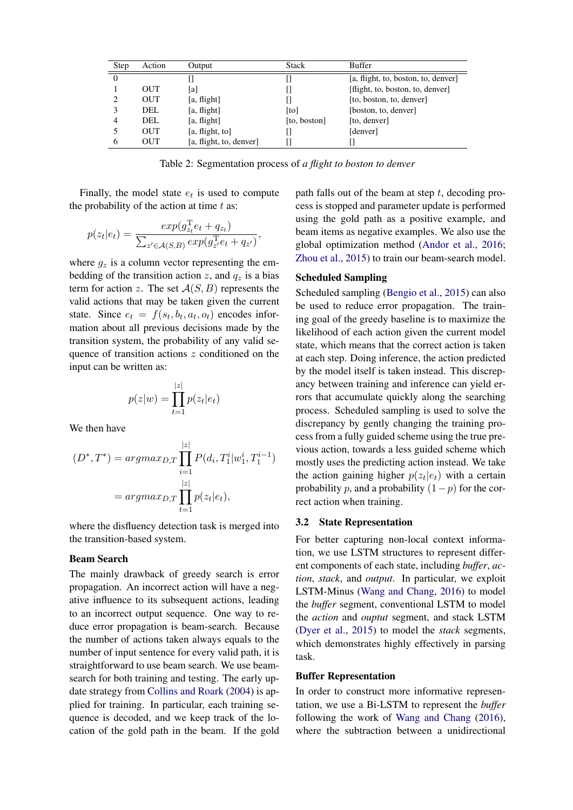<span id="page-3-0"></span>

| Step | Action     | Output                  | <b>Stack</b>      | <b>Buffer</b>                       |
|------|------------|-------------------------|-------------------|-------------------------------------|
| 0    |            |                         |                   | [a, flight, to, boston, to, denver] |
|      | <b>OUT</b> | [a]                     |                   | [flight, to, boston, to, denver]    |
|      | <b>OUT</b> | [a, flight]             |                   | [to, boston, to, denver]            |
|      | DEL.       | [a, flight]             | [t <sub>o</sub> ] | [boston, to, denver]                |
| 4    | DEL.       | [a, flight]             | [to, boston]      | [to, denver]                        |
|      | <b>OUT</b> | [a, flight, to]         |                   | [denver]                            |
| 6    | OUT        | [a, flight, to, denver] |                   |                                     |

Table 2: Segmentation process of *a flight to boston to denver*

Finally, the model state  $e_t$  is used to compute the probability of the action at time  $t$  as:

$$
p(z_t|e_t) = \frac{exp(g_{z_t}^{\mathrm{T}}e_t + q_{z_t})}{\sum_{z' \in \mathcal{A}(S,B)} exp(g_{z'}^{\mathrm{T}}e_t + q_{z'})},
$$

where  $g_z$  is a column vector representing the embedding of the transition action z, and  $q_z$  is a bias term for action z. The set  $A(S, B)$  represents the valid actions that may be taken given the current state. Since  $e_t = f(s_t, b_t, a_t, o_t)$  encodes information about all previous decisions made by the transition system, the probability of any valid sequence of transition actions z conditioned on the input can be written as:

$$
p(z|w) = \prod_{t=1}^{|z|} p(z_t|e_t)
$$

We then have

$$
(D^*, T^*) = \operatorname{argmax}_{D,T} \prod_{i=1}^{|z|} P(d_i, T_1^i | w_1^i, T_1^{i-1})
$$

$$
= \operatorname{argmax}_{D,T} \prod_{t=1}^{|z|} p(z_t | e_t),
$$

where the disfluency detection task is merged into the transition-based system.

#### Beam Search

The mainly drawback of greedy search is error propagation. An incorrect action will have a negative influence to its subsequent actions, leading to an incorrect output sequence. One way to reduce error propagation is beam-search. Because the number of actions taken always equals to the number of input sentence for every valid path, it is straightforward to use beam search. We use beamsearch for both training and testing. The early update strategy from [Collins and Roark](#page-8-5) [\(2004\)](#page-8-5) is applied for training. In particular, each training sequence is decoded, and we keep track of the location of the gold path in the beam. If the gold path falls out of the beam at step  $t$ , decoding process is stopped and parameter update is performed using the gold path as a positive example, and beam items as negative examples. We also use the global optimization method [\(Andor et al.,](#page-8-9) [2016;](#page-8-9) [Zhou et al.,](#page-9-7) [2015\)](#page-9-7) to train our beam-search model.

### Scheduled Sampling

Scheduled sampling [\(Bengio et al.,](#page-8-6) [2015\)](#page-8-6) can also be used to reduce error propagation. The training goal of the greedy baseline is to maximize the likelihood of each action given the current model state, which means that the correct action is taken at each step. Doing inference, the action predicted by the model itself is taken instead. This discrepancy between training and inference can yield errors that accumulate quickly along the searching process. Scheduled sampling is used to solve the discrepancy by gently changing the training process from a fully guided scheme using the true previous action, towards a less guided scheme which mostly uses the predicting action instead. We take the action gaining higher  $p(z_t|e_t)$  with a certain probability p, and a probability  $(1-p)$  for the correct action when training.

#### 3.2 State Representation

For better capturing non-local context information, we use LSTM structures to represent different components of each state, including *buffer*, *action*, *stack*, and *output*. In particular, we exploit LSTM-Minus [\(Wang and Chang,](#page-9-8) [2016\)](#page-9-8) to model the *buffer* segment, conventional LSTM to model the *action* and *ouptut* segment, and stack LSTM [\(Dyer et al.,](#page-8-7) [2015\)](#page-8-7) to model the *stack* segments, which demonstrates highly effectively in parsing task.

#### Buffer Representation

In order to construct more informative representation, we use a Bi-LSTM to represent the *buffer* following the work of [Wang and Chang](#page-9-8) [\(2016\)](#page-9-8), where the subtraction between a unidirectional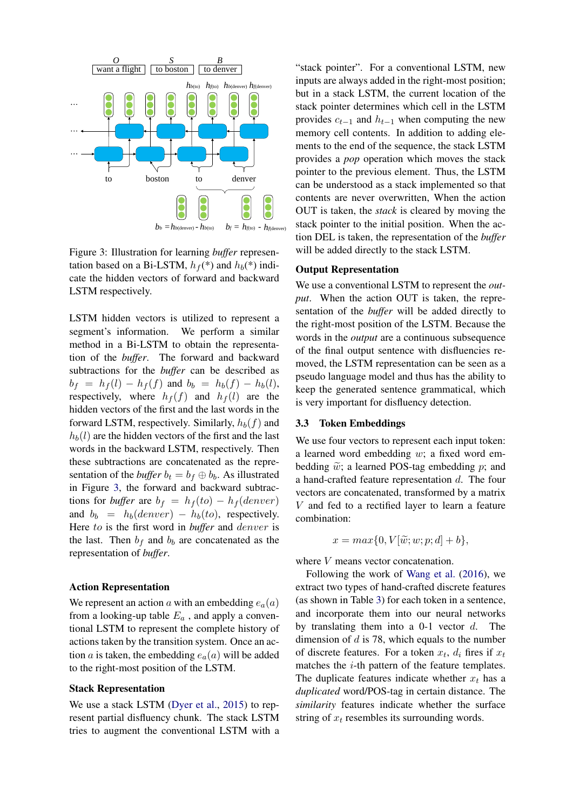<span id="page-4-0"></span>

Figure 3: Illustration for learning *buffer* representation based on a Bi-LSTM,  $h_f$ <sup>(\*)</sup> and  $h_b$ (\*) indicate the hidden vectors of forward and backward LSTM respectively.

LSTM hidden vectors is utilized to represent a segment's information. We perform a similar method in a Bi-LSTM to obtain the representation of the *buffer*. The forward and backward subtractions for the *buffer* can be described as  $b_f = h_f(l) - h_f(f)$  and  $b_b = h_b(f) - h_b(l)$ , respectively, where  $h_f(f)$  and  $h_f(l)$  are the hidden vectors of the first and the last words in the forward LSTM, respectively. Similarly,  $h_b(f)$  and  $h_b(l)$  are the hidden vectors of the first and the last words in the backward LSTM, respectively. Then these subtractions are concatenated as the representation of the *buffer*  $b_t = b_f \oplus b_b$ . As illustrated in Figure [3,](#page-4-0) the forward and backward subtractions for *buffer* are  $b_f = h_f(to) - h_f(denver)$ and  $b_b = h_b(denver) - h_b(to)$ , respectively. Here to is the first word in *buffer* and denver is the last. Then  $b_f$  and  $b_b$  are concatenated as the representation of *buffer*.

### Action Representation

We represent an action a with an embedding  $e_a(a)$ from a looking-up table  $E_a$ , and apply a conventional LSTM to represent the complete history of actions taken by the transition system. Once an action a is taken, the embedding  $e_a(a)$  will be added to the right-most position of the LSTM.

#### Stack Representation

We use a stack LSTM [\(Dyer et al.,](#page-8-7) [2015\)](#page-8-7) to represent partial disfluency chunk. The stack LSTM tries to augment the conventional LSTM with a

"stack pointer". For a conventional LSTM, new inputs are always added in the right-most position; but in a stack LSTM, the current location of the stack pointer determines which cell in the LSTM provides  $c_{t-1}$  and  $h_{t-1}$  when computing the new memory cell contents. In addition to adding elements to the end of the sequence, the stack LSTM provides a *pop* operation which moves the stack pointer to the previous element. Thus, the LSTM can be understood as a stack implemented so that contents are never overwritten, When the action OUT is taken, the *stack* is cleared by moving the stack pointer to the initial position. When the action DEL is taken, the representation of the *buffer* will be added directly to the stack LSTM.

### Output Representation

We use a conventional LSTM to represent the *output*. When the action OUT is taken, the representation of the *buffer* will be added directly to the right-most position of the LSTM. Because the words in the *output* are a continuous subsequence of the final output sentence with disfluencies removed, the LSTM representation can be seen as a pseudo language model and thus has the ability to keep the generated sentence grammatical, which is very important for disfluency detection.

#### 3.3 Token Embeddings

We use four vectors to represent each input token: a learned word embedding w; a fixed word embedding  $\tilde{w}$ ; a learned POS-tag embedding p; and a hand-crafted feature representation d. The four vectors are concatenated, transformed by a matrix V and fed to a rectified layer to learn a feature combination:

$$
x = max\{0, V[\widetilde{w}; w; p; d] + b\},\
$$

where  $V$  means vector concatenation.

Following the work of [Wang et al.](#page-9-1) [\(2016\)](#page-9-1), we extract two types of hand-crafted discrete features (as shown in Table [3\)](#page-5-0) for each token in a sentence, and incorporate them into our neural networks by translating them into a  $0-1$  vector  $d$ . The dimension of  $d$  is 78, which equals to the number of discrete features. For a token  $x_t$ ,  $d_i$  fires if  $x_t$ matches the i-th pattern of the feature templates. The duplicate features indicate whether  $x_t$  has a *duplicated* word/POS-tag in certain distance. The *similarity* features indicate whether the surface string of  $x_t$  resembles its surrounding words.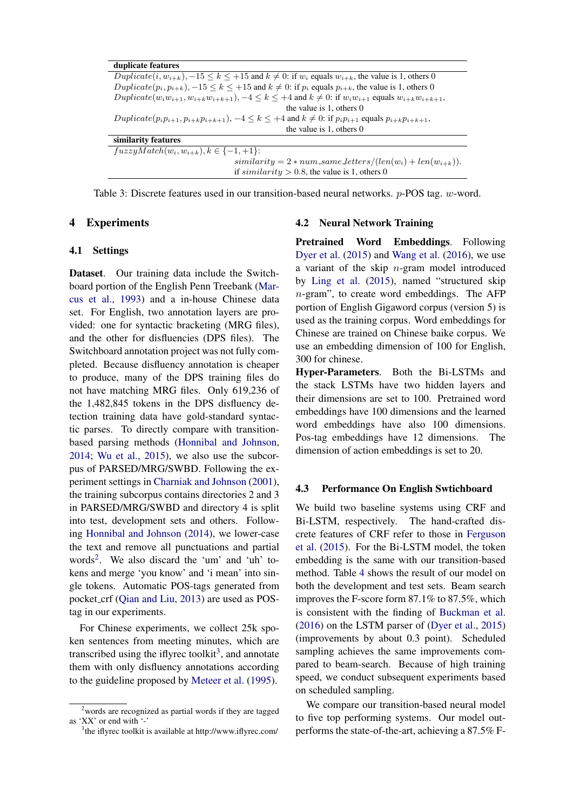<span id="page-5-0"></span>

| duplicate features                                                                                                                                        |
|-----------------------------------------------------------------------------------------------------------------------------------------------------------|
| $\overline{Doubleate(i, w_{i+k})}$ , $-15 \le k \le +15$ and $k \ne 0$ : if $w_i$ equals $w_{i+k}$ , the value is 1, others 0                             |
| $Dupiterate(p_i, p_{i+k}), -15 \le k \le +15$ and $k \ne 0$ : if $p_i$ equals $p_{i+k}$ , the value is 1, others 0                                        |
| $Dupiterate(w_iw_{i+1}, w_{i+k}w_{i+k+1}), -4 \leq k \leq +4$ and $k \neq 0$ : if $w_iw_{i+1}$ equals $w_{i+k}w_{i+k+1}$ ,                                |
| the value is $1$ , others $0$                                                                                                                             |
| Duplicate( $p_i p_{i+1}, p_{i+k} p_{i+k+1}$ ), $-4 \le k \le +4$ and $k \ne 0$ : if $p_i p_{i+1}$ equals $p_{i+k} p_{i+k+1}$ ,                            |
| the value is 1, others 0                                                                                                                                  |
| similarity features                                                                                                                                       |
| $fuzzyMatch(w_i, w_{i+k}), k \in \{-1, +1\}:$                                                                                                             |
| $similarity = 2 * num\_same\_letters/(len(w_i) + len(w_{i+k})).$                                                                                          |
| if $\text{s}_{\text{i}}$ if $\text{s}_{\text{i}}$ in $\text{s}_{\text{i}}$ if $\text{s}_{\text{i}}$ in $\text{s}_{\text{i}}$ of $\text{h}$ is 1, others 0 |

Table 3: Discrete features used in our transition-based neural networks. *p*-POS tag. *w*-word.

### 4 Experiments

#### 4.1 Settings

Dataset. Our training data include the Switchboard portion of the English Penn Treebank [\(Mar](#page-9-9)[cus et al.,](#page-9-9) [1993\)](#page-9-9) and a in-house Chinese data set. For English, two annotation layers are provided: one for syntactic bracketing (MRG files), and the other for disfluencies (DPS files). The Switchboard annotation project was not fully completed. Because disfluency annotation is cheaper to produce, many of the DPS training files do not have matching MRG files. Only 619,236 of the 1,482,845 tokens in the DPS disfluency detection training data have gold-standard syntactic parses. To directly compare with transitionbased parsing methods [\(Honnibal and Johnson,](#page-8-3) [2014;](#page-8-3) [Wu et al.,](#page-9-2) [2015\)](#page-9-2), we also use the subcorpus of PARSED/MRG/SWBD. Following the experiment settings in [Charniak and Johnson](#page-8-10) [\(2001\)](#page-8-10), the training subcorpus contains directories 2 and 3 in PARSED/MRG/SWBD and directory 4 is split into test, development sets and others. Following [Honnibal and Johnson](#page-8-3) [\(2014\)](#page-8-3), we lower-case the text and remove all punctuations and partial words<sup>[2](#page-0-2)</sup>. We also discard the 'um' and 'uh' tokens and merge 'you know' and 'i mean' into single tokens. Automatic POS-tags generated from pocket crf [\(Qian and Liu,](#page-9-4) [2013\)](#page-9-4) are used as POStag in our experiments.

For Chinese experiments, we collect 25k spoken sentences from meeting minutes, which are transcribed using the iflyrec toolkit<sup>[3](#page-0-2)</sup>, and annotate them with only disfluency annotations according to the guideline proposed by [Meteer et al.](#page-9-10) [\(1995\)](#page-9-10).

#### 4.2 Neural Network Training

Pretrained Word Embeddings. Following [Dyer et al.](#page-8-7) [\(2015\)](#page-8-7) and [Wang et al.](#page-9-1) [\(2016\)](#page-9-1), we use a variant of the skip  $n$ -gram model introduced by [Ling et al.](#page-9-11) [\(2015\)](#page-9-11), named "structured skip  $n$ -gram", to create word embeddings. The AFP portion of English Gigaword corpus (version 5) is used as the training corpus. Word embeddings for Chinese are trained on Chinese baike corpus. We use an embedding dimension of 100 for English, 300 for chinese.

Hyper-Parameters. Both the Bi-LSTMs and the stack LSTMs have two hidden layers and their dimensions are set to 100. Pretrained word embeddings have 100 dimensions and the learned word embeddings have also 100 dimensions. Pos-tag embeddings have 12 dimensions. The dimension of action embeddings is set to 20.

#### 4.3 Performance On English Swtichboard

We build two baseline systems using CRF and Bi-LSTM, respectively. The hand-crafted discrete features of CRF refer to those in [Ferguson](#page-8-2) [et al.](#page-8-2) [\(2015\)](#page-8-2). For the Bi-LSTM model, the token embedding is the same with our transition-based method. Table [4](#page-6-0) shows the result of our model on both the development and test sets. Beam search improves the F-score form 87.1% to 87.5%, which is consistent with the finding of [Buckman et al.](#page-8-11) [\(2016\)](#page-8-11) on the LSTM parser of [\(Dyer et al.,](#page-8-7) [2015\)](#page-8-7) (improvements by about 0.3 point). Scheduled sampling achieves the same improvements compared to beam-search. Because of high training speed, we conduct subsequent experiments based on scheduled sampling.

We compare our transition-based neural model to five top performing systems. Our model outperforms the state-of-the-art, achieving a 87.5% F-

<sup>&</sup>lt;sup>2</sup> words are recognized as partial words if they are tagged as 'XX' or end with  $\cdot$ -

<sup>&</sup>lt;sup>3</sup>the iflyrec toolkit is available at http://www.iflyrec.com/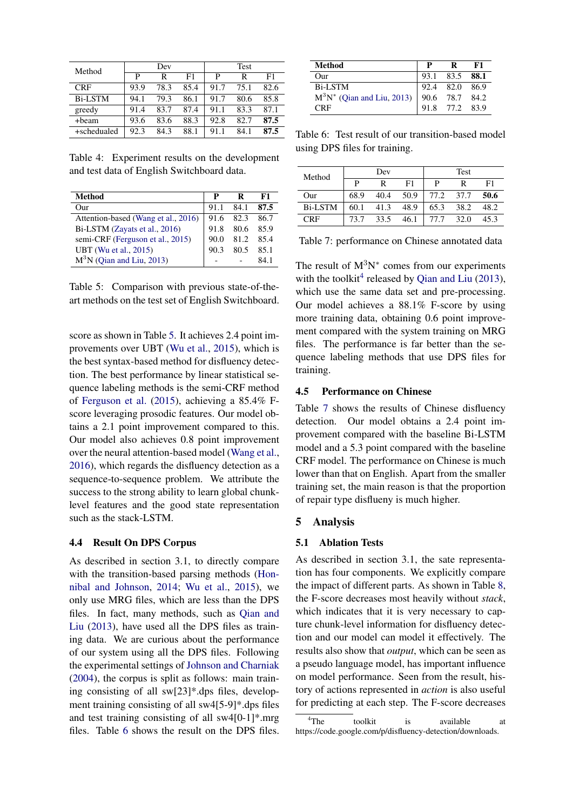<span id="page-6-0"></span>

| Method         | Dev  |      |      | <b>Test</b> |      |      |
|----------------|------|------|------|-------------|------|------|
|                | P    | R    | F1   | P           | R    | F1   |
| <b>CRF</b>     | 93.9 | 78.3 | 85.4 | 91.7        | 75.1 | 82.6 |
| <b>Bi-LSTM</b> | 94.1 | 79.3 | 86.1 | 91.7        | 80.6 | 85.8 |
| greedy         | 91.4 | 83.7 | 87.4 | 91.1        | 83.3 | 87.1 |
| +beam          | 93.6 | 83.6 | 88.3 | 92.8        | 82.7 | 87.5 |
| +schedualed    | 92.3 | 84.3 | 88.1 | 91.1        | 84.1 | 87.5 |

Table 4: Experiment results on the development and test data of English Switchboard data.

<span id="page-6-1"></span>

| Method                              | p    | R    | F1   |
|-------------------------------------|------|------|------|
| $_{\rm Our}$                        | 91.1 | 84.1 | 87.5 |
| Attention-based (Wang et al., 2016) | 91.6 | 82.3 | 86.7 |
| Bi-LSTM (Zayats et al., 2016)       | 91.8 | 80.6 | 85.9 |
| semi-CRF (Ferguson et al., 2015)    | 90.0 | 81.2 | 85.4 |
| UBT (Wu et al., 2015)               | 90.3 | 80 5 | 85.1 |
| $M3N$ (Qian and Liu, 2013)          |      |      | 84 1 |

Table 5: Comparison with previous state-of-theart methods on the test set of English Switchboard.

score as shown in Table [5.](#page-6-1) It achieves 2.4 point improvements over UBT [\(Wu et al.,](#page-9-2) [2015\)](#page-9-2), which is the best syntax-based method for disfluency detection. The best performance by linear statistical sequence labeling methods is the semi-CRF method of [Ferguson et al.](#page-8-2) [\(2015\)](#page-8-2), achieving a 85.4% Fscore leveraging prosodic features. Our model obtains a 2.1 point improvement compared to this. Our model also achieves 0.8 point improvement over the neural attention-based model [\(Wang et al.,](#page-9-1) [2016\)](#page-9-1), which regards the disfluency detection as a sequence-to-sequence problem. We attribute the success to the strong ability to learn global chunklevel features and the good state representation such as the stack-LSTM.

#### 4.4 Result On DPS Corpus

As described in section 3.1, to directly compare with the transition-based parsing methods [\(Hon](#page-8-3)[nibal and Johnson,](#page-8-3) [2014;](#page-8-3) [Wu et al.,](#page-9-2) [2015\)](#page-9-2), we only use MRG files, which are less than the DPS files. In fact, many methods, such as [Qian and](#page-9-4) [Liu](#page-9-4) [\(2013\)](#page-9-4), have used all the DPS files as training data. We are curious about the performance of our system using all the DPS files. Following the experimental settings of [Johnson and Charniak](#page-8-12) [\(2004\)](#page-8-12), the corpus is split as follows: main training consisting of all sw[23]\*.dps files, development training consisting of all sw4[5-9]\*.dps files and test training consisting of all sw4[0-1]\*.mrg files. Table [6](#page-6-2) shows the result on the DPS files.

<span id="page-6-2"></span>

| Method                                                                        | P | R              | F1 |
|-------------------------------------------------------------------------------|---|----------------|----|
| $_{\rm Our}$                                                                  |   | 93.1 83.5 88.1 |    |
|                                                                               |   |                |    |
| Bi-LSTM<br>$M^3N^*$ (Qian and Liu, 2013) 90.6 78.7 84.2<br>CRF 91.8 77.2 83.9 |   |                |    |
|                                                                               |   |                |    |

Table 6: Test result of our transition-based model using DPS files for training.

<span id="page-6-3"></span>

| Method         | Dev  |      |      | Test |      |      |
|----------------|------|------|------|------|------|------|
|                | Þ    | R    | F1   | P    |      | F1   |
| Our            | 68.9 | 40.4 | 50.9 | 77.2 | 37.7 | 50.6 |
| <b>Bi-LSTM</b> | 60.1 | 41.3 | 48.9 | 65.3 | 38.2 | 48.2 |
| CRF            | 73.7 | 33.5 | 46.1 | 77.7 | 32.O | 45.3 |

Table 7: performance on Chinese annotated data

The result of  $M^3N^*$  comes from our experiments with the toolkit<sup>[4](#page-0-2)</sup> released by [Qian and Liu](#page-9-4) [\(2013\)](#page-9-4), which use the same data set and pre-processing. Our model achieves a 88.1% F-score by using more training data, obtaining 0.6 point improvement compared with the system training on MRG files. The performance is far better than the sequence labeling methods that use DPS files for training.

### 4.5 Performance on Chinese

Table [7](#page-6-3) shows the results of Chinese disfluency detection. Our model obtains a 2.4 point improvement compared with the baseline Bi-LSTM model and a 5.3 point compared with the baseline CRF model. The performance on Chinese is much lower than that on English. Apart from the smaller training set, the main reason is that the proportion of repair type disflueny is much higher.

### 5 Analysis

#### 5.1 Ablation Tests

As described in section 3.1, the sate representation has four components. We explicitly compare the impact of different parts. As shown in Table [8,](#page-7-0) the F-score decreases most heavily without *stack*, which indicates that it is very necessary to capture chunk-level information for disfluency detection and our model can model it effectively. The results also show that *output*, which can be seen as a pseudo language model, has important influence on model performance. Seen from the result, history of actions represented in *action* is also useful for predicting at each step. The F-score decreases

<sup>&</sup>lt;sup>4</sup>The toolkit is available at https://code.google.com/p/disfluency-detection/downloads.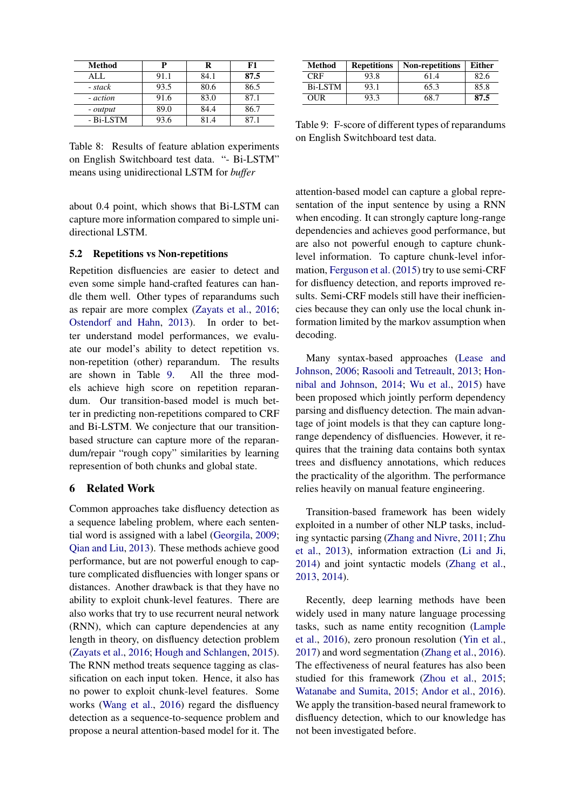<span id="page-7-0"></span>

| Method    | P    | R    | F1   |
|-----------|------|------|------|
| AI.       | 91.1 | 84.1 | 87.5 |
| - stack   | 93.5 | 80.6 | 86.5 |
| - action  | 91.6 | 83.0 | 87.1 |
| - output  | 89.0 | 84.4 | 86.7 |
| - Bi-LSTM | 93.6 | 81.4 | 87 1 |

Table 8: Results of feature ablation experiments on English Switchboard test data. "- Bi-LSTM" means using unidirectional LSTM for *buffer*

about 0.4 point, which shows that Bi-LSTM can capture more information compared to simple unidirectional LSTM.

#### 5.2 Repetitions vs Non-repetitions

Repetition disfluencies are easier to detect and even some simple hand-crafted features can handle them well. Other types of reparandums such as repair are more complex [\(Zayats et al.,](#page-9-0) [2016;](#page-9-0) [Ostendorf and Hahn,](#page-9-12) [2013\)](#page-9-12). In order to better understand model performances, we evaluate our model's ability to detect repetition vs. non-repetition (other) reparandum. The results are shown in Table [9.](#page-7-1) All the three models achieve high score on repetition reparandum. Our transition-based model is much better in predicting non-repetitions compared to CRF and Bi-LSTM. We conjecture that our transitionbased structure can capture more of the reparandum/repair "rough copy" similarities by learning represention of both chunks and global state.

# 6 Related Work

Common approaches take disfluency detection as a sequence labeling problem, where each sentential word is assigned with a label [\(Georgila,](#page-8-1) [2009;](#page-8-1) [Qian and Liu,](#page-9-4) [2013\)](#page-9-4). These methods achieve good performance, but are not powerful enough to capture complicated disfluencies with longer spans or distances. Another drawback is that they have no ability to exploit chunk-level features. There are also works that try to use recurrent neural network (RNN), which can capture dependencies at any length in theory, on disfluency detection problem [\(Zayats et al.,](#page-9-0) [2016;](#page-9-0) [Hough and Schlangen,](#page-8-0) [2015\)](#page-8-0). The RNN method treats sequence tagging as classification on each input token. Hence, it also has no power to exploit chunk-level features. Some works [\(Wang et al.,](#page-9-1) [2016\)](#page-9-1) regard the disfluency detection as a sequence-to-sequence problem and propose a neural attention-based model for it. The

<span id="page-7-1"></span>

| Method  | <b>Repetitions</b> | <b>Non-repetitions</b> | Either |
|---------|--------------------|------------------------|--------|
| CRF     | 93.8               | 61.4                   | 82.6   |
| Bi-LSTM | 93.1               | 65.3                   | 85.8   |
| OUR     | 93.3               | 68.7                   | 87.5   |

Table 9: F-score of different types of reparandums on English Switchboard test data.

attention-based model can capture a global representation of the input sentence by using a RNN when encoding. It can strongly capture long-range dependencies and achieves good performance, but are also not powerful enough to capture chunklevel information. To capture chunk-level information, [Ferguson et al.](#page-8-2) [\(2015\)](#page-8-2) try to use semi-CRF for disfluency detection, and reports improved results. Semi-CRF models still have their inefficiencies because they can only use the local chunk information limited by the markov assumption when decoding.

Many syntax-based approaches [\(Lease and](#page-8-13) [Johnson,](#page-8-13) [2006;](#page-8-13) [Rasooli and Tetreault,](#page-9-5) [2013;](#page-9-5) [Hon](#page-8-3)[nibal and Johnson,](#page-8-3) [2014;](#page-8-3) [Wu et al.,](#page-9-2) [2015\)](#page-9-2) have been proposed which jointly perform dependency parsing and disfluency detection. The main advantage of joint models is that they can capture longrange dependency of disfluencies. However, it requires that the training data contains both syntax trees and disfluency annotations, which reduces the practicality of the algorithm. The performance relies heavily on manual feature engineering.

Transition-based framework has been widely exploited in a number of other NLP tasks, including syntactic parsing [\(Zhang and Nivre,](#page-9-13) [2011;](#page-9-13) [Zhu](#page-9-14) [et al.,](#page-9-14) [2013\)](#page-9-14), information extraction [\(Li and Ji,](#page-8-14) [2014\)](#page-8-14) and joint syntactic models [\(Zhang et al.,](#page-9-15) [2013,](#page-9-15) [2014\)](#page-9-16).

Recently, deep learning methods have been widely used in many nature language processing tasks, such as name entity recognition [\(Lample](#page-8-15) [et al.,](#page-8-15) [2016\)](#page-8-15), zero pronoun resolution [\(Yin et al.,](#page-9-17) [2017\)](#page-9-17) and word segmentation [\(Zhang et al.,](#page-9-18) [2016\)](#page-9-18). The effectiveness of neural features has also been studied for this framework [\(Zhou et al.,](#page-9-7) [2015;](#page-9-7) [Watanabe and Sumita,](#page-9-19) [2015;](#page-9-19) [Andor et al.,](#page-8-9) [2016\)](#page-8-9). We apply the transition-based neural framework to disfluency detection, which to our knowledge has not been investigated before.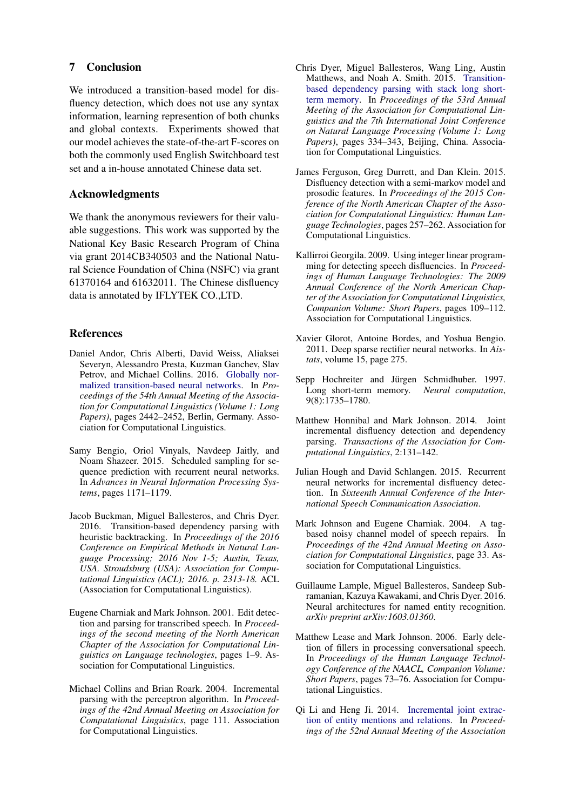### 7 Conclusion

We introduced a transition-based model for disfluency detection, which does not use any syntax information, learning represention of both chunks and global contexts. Experiments showed that our model achieves the state-of-the-art F-scores on both the commonly used English Switchboard test set and a in-house annotated Chinese data set.

# Acknowledgments

We thank the anonymous reviewers for their valuable suggestions. This work was supported by the National Key Basic Research Program of China via grant 2014CB340503 and the National Natural Science Foundation of China (NSFC) via grant 61370164 and 61632011. The Chinese disfluency data is annotated by IFLYTEK CO.,LTD.

### References

- <span id="page-8-9"></span>Daniel Andor, Chris Alberti, David Weiss, Aliaksei Severyn, Alessandro Presta, Kuzman Ganchev, Slav Petrov, and Michael Collins. 2016. [Globally nor](http://www.aclweb.org/anthology/P16-1231)[malized transition-based neural networks.](http://www.aclweb.org/anthology/P16-1231) In *Proceedings of the 54th Annual Meeting of the Association for Computational Linguistics (Volume 1: Long Papers)*, pages 2442–2452, Berlin, Germany. Association for Computational Linguistics.
- <span id="page-8-6"></span>Samy Bengio, Oriol Vinyals, Navdeep Jaitly, and Noam Shazeer. 2015. Scheduled sampling for sequence prediction with recurrent neural networks. In *Advances in Neural Information Processing Systems*, pages 1171–1179.
- <span id="page-8-11"></span>Jacob Buckman, Miguel Ballesteros, and Chris Dyer. 2016. Transition-based dependency parsing with heuristic backtracking. In *Proceedings of the 2016 Conference on Empirical Methods in Natural Language Processing; 2016 Nov 1-5; Austin, Texas, USA. Stroudsburg (USA): Association for Computational Linguistics (ACL); 2016. p. 2313-18.* ACL (Association for Computational Linguistics).
- <span id="page-8-10"></span>Eugene Charniak and Mark Johnson. 2001. Edit detection and parsing for transcribed speech. In *Proceedings of the second meeting of the North American Chapter of the Association for Computational Linguistics on Language technologies*, pages 1–9. Association for Computational Linguistics.
- <span id="page-8-5"></span>Michael Collins and Brian Roark. 2004. Incremental parsing with the perceptron algorithm. In *Proceedings of the 42nd Annual Meeting on Association for Computational Linguistics*, page 111. Association for Computational Linguistics.
- <span id="page-8-7"></span>Chris Dyer, Miguel Ballesteros, Wang Ling, Austin Matthews, and Noah A. Smith. 2015. [Transition](http://www.aclweb.org/anthology/P15-1033)[based dependency parsing with stack long short](http://www.aclweb.org/anthology/P15-1033)[term memory.](http://www.aclweb.org/anthology/P15-1033) In *Proceedings of the 53rd Annual Meeting of the Association for Computational Linguistics and the 7th International Joint Conference on Natural Language Processing (Volume 1: Long Papers)*, pages 334–343, Beijing, China. Association for Computational Linguistics.
- <span id="page-8-2"></span>James Ferguson, Greg Durrett, and Dan Klein. 2015. Disfluency detection with a semi-markov model and prosodic features. In *Proceedings of the 2015 Conference of the North American Chapter of the Association for Computational Linguistics: Human Language Technologies*, pages 257–262. Association for Computational Linguistics.
- <span id="page-8-1"></span>Kallirroi Georgila. 2009. Using integer linear programming for detecting speech disfluencies. In *Proceedings of Human Language Technologies: The 2009 Annual Conference of the North American Chapter of the Association for Computational Linguistics, Companion Volume: Short Papers*, pages 109–112. Association for Computational Linguistics.
- <span id="page-8-8"></span>Xavier Glorot, Antoine Bordes, and Yoshua Bengio. 2011. Deep sparse rectifier neural networks. In *Aistats*, volume 15, page 275.
- <span id="page-8-4"></span>Sepp Hochreiter and Jürgen Schmidhuber. 1997. Long short-term memory. *Neural computation*, 9(8):1735–1780.
- <span id="page-8-3"></span>Matthew Honnibal and Mark Johnson. 2014. Joint incremental disfluency detection and dependency parsing. *Transactions of the Association for Computational Linguistics*, 2:131–142.
- <span id="page-8-0"></span>Julian Hough and David Schlangen. 2015. Recurrent neural networks for incremental disfluency detection. In *Sixteenth Annual Conference of the International Speech Communication Association*.
- <span id="page-8-12"></span>Mark Johnson and Eugene Charniak. 2004. A tagbased noisy channel model of speech repairs. In *Proceedings of the 42nd Annual Meeting on Association for Computational Linguistics*, page 33. Association for Computational Linguistics.
- <span id="page-8-15"></span>Guillaume Lample, Miguel Ballesteros, Sandeep Subramanian, Kazuya Kawakami, and Chris Dyer. 2016. Neural architectures for named entity recognition. *arXiv preprint arXiv:1603.01360*.
- <span id="page-8-13"></span>Matthew Lease and Mark Johnson. 2006. Early deletion of fillers in processing conversational speech. In *Proceedings of the Human Language Technology Conference of the NAACL, Companion Volume: Short Papers*, pages 73–76. Association for Computational Linguistics.
- <span id="page-8-14"></span>Qi Li and Heng Ji. 2014. [Incremental joint extrac](http://www.aclweb.org/anthology/P14-1038)[tion of entity mentions and relations.](http://www.aclweb.org/anthology/P14-1038) In *Proceedings of the 52nd Annual Meeting of the Association*